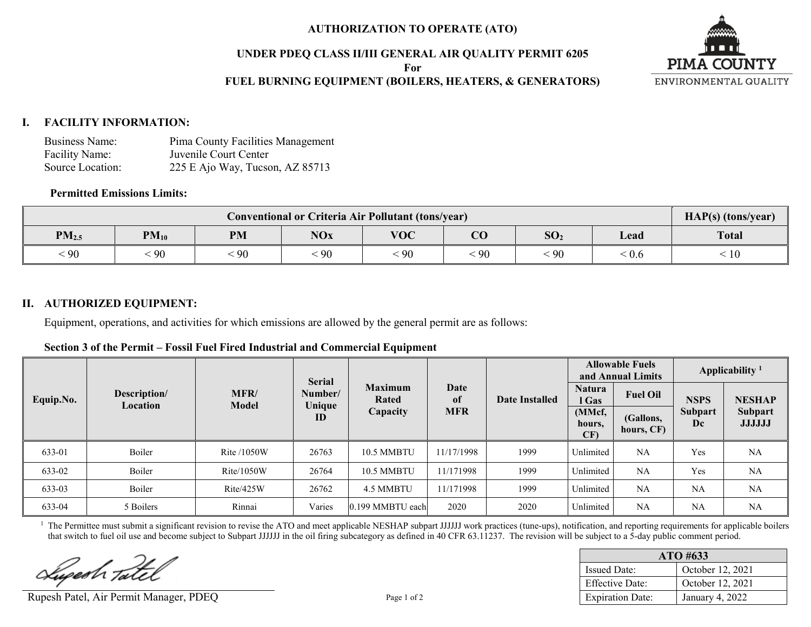## **AUTHORIZATION TO OPERATE (ATO)**

## **UNDER PDEQ CLASS II/III GENERAL AIR QUALITY PERMIT 6205**

**For**

## **FUEL BURNING EQUIPMENT (BOILERS, HEATERS, & GENERATORS)**



## **I. FACILITY INFORMATION:**

| Business Name:   | Pima County Facilities Management |
|------------------|-----------------------------------|
| Facility Name:   | Juvenile Court Center             |
| Source Location: | 225 E Ajo Way, Tucson, AZ 85713   |

## **Permitted Emissions Limits:**

|            | HAP(s) (tons/year) |    |               |            |            |                 |                                       |              |
|------------|--------------------|----|---------------|------------|------------|-----------------|---------------------------------------|--------------|
| $PM_{2.5}$ | $PM_{10}$          | PM | <b>NOx</b>    | <b>VOC</b> | $\bf CO$   | SO <sub>2</sub> | Lead                                  | <b>Total</b> |
| $\leq 90$  | 90                 | 90 | $\epsilon$ 90 | .90        | $\cdot$ 90 | 90              | $\stackrel{<}{\scriptstyle \sim} 0.6$ | 10           |

## **II. AUTHORIZED EQUIPMENT:**

Equipment, operations, and activities for which emissions are allowed by the general permit are as follows:

| Section 3 of the Permit – Fossil Fuel Fired Industrial and Commercial Equipment |
|---------------------------------------------------------------------------------|
|---------------------------------------------------------------------------------|

|           |                          | <b>Serial</b> |                   |                         | <b>Allowable Fuels</b><br>and Annual Limits |                      | Applicability <sup>1</sup> |                 |             |               |
|-----------|--------------------------|---------------|-------------------|-------------------------|---------------------------------------------|----------------------|----------------------------|-----------------|-------------|---------------|
| Equip.No. | Description/<br>Location | MFR/<br>Model | Number/<br>Unique | <b>Maximum</b><br>Rated | Date<br>of                                  | Date Installed       | <b>Natura</b><br>l Gas     | <b>Fuel Oil</b> | <b>NSPS</b> | <b>NESHAP</b> |
| ID        | Capacity                 | <b>MFR</b>    |                   | (MMcf,<br>hours,<br>CF) | (Gallons,<br>hours, CF)                     | <b>Subpart</b><br>Dc | Subpart<br><b>JJJJJJ</b>   |                 |             |               |
| 633-01    | Boiler                   | Rite /1050W   | 26763             | 10.5 MMBTU              | 11/17/1998                                  | 1999                 | Unlimited                  | NA              | Yes         | <b>NA</b>     |
| 633-02    | Boiler                   | Rite/1050W    | 26764             | 10.5 MMBTU              | 11/171998                                   | 1999                 | Unlimited                  | NA              | Yes         | NA            |
| 633-03    | Boiler                   | Rite/425W     | 26762             | 4.5 MMBTU               | 11/171998                                   | 1999                 | Unlimited                  | NA              | NA          | NA            |
| 633-04    | 5 Boilers                | Rinnai        | Varies            | 0.199 MMBTU each        | 2020                                        | 2020                 | Unlimited                  | NA              | <b>NA</b>   | <b>NA</b>     |

<sup>1</sup> The Permittee must submit a significant revision to revise the ATO and meet applicable NESHAP subpart JJJJJJ work practices (tune-ups), notification, and reporting requirements for applicable boilers that switch to fuel oil use and become subject to Subpart JJJJJJ in the oil firing subcategory as defined in 40 CFR 63.11237. The revision will be subject to a 5-day public comment period.

Lugesh Tatel

Rupesh Patel, Air Permit Manager, PDEQ Page 1 of 2

| $ATO$ #633              |                  |  |  |  |
|-------------------------|------------------|--|--|--|
| <b>Issued Date:</b>     | October 12, 2021 |  |  |  |
| <b>Effective Date:</b>  | October 12, 2021 |  |  |  |
| <b>Expiration Date:</b> | January 4, 2022  |  |  |  |